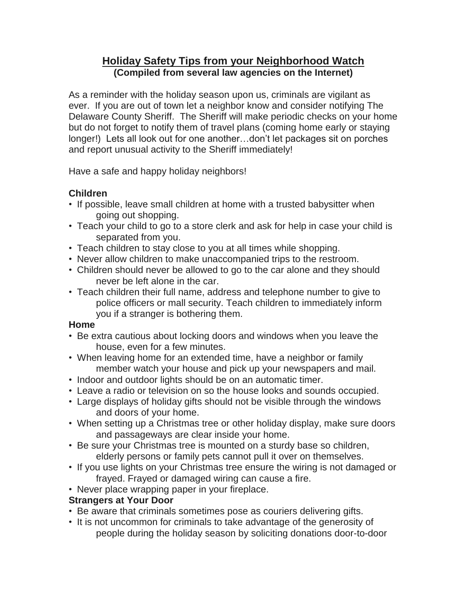## **Holiday Safety Tips from your Neighborhood Watch (Compiled from several law agencies on the Internet)**

As a reminder with the holiday season upon us, criminals are vigilant as ever. If you are out of town let a neighbor know and consider notifying The Delaware County Sheriff. The Sheriff will make periodic checks on your home but do not forget to notify them of travel plans (coming home early or staying longer!) Lets all look out for one another…don't let packages sit on porches and report unusual activity to the Sheriff immediately!

Have a safe and happy holiday neighbors!

# **Children**

- If possible, leave small children at home with a trusted babysitter when going out shopping.
- Teach your child to go to a store clerk and ask for help in case your child is separated from you.
- Teach children to stay close to you at all times while shopping.
- Never allow children to make unaccompanied trips to the restroom.
- Children should never be allowed to go to the car alone and they should never be left alone in the car.
- Teach children their full name, address and telephone number to give to police officers or mall security. Teach children to immediately inform you if a stranger is bothering them.

#### **Home**

- Be extra cautious about locking doors and windows when you leave the house, even for a few minutes.
- When leaving home for an extended time, have a neighbor or family member watch your house and pick up your newspapers and mail.
- Indoor and outdoor lights should be on an automatic timer.
- Leave a radio or television on so the house looks and sounds occupied.
- Large displays of holiday gifts should not be visible through the windows and doors of your home.
- When setting up a Christmas tree or other holiday display, make sure doors and passageways are clear inside your home.
- Be sure your Christmas tree is mounted on a sturdy base so children, elderly persons or family pets cannot pull it over on themselves.
- If you use lights on your Christmas tree ensure the wiring is not damaged or frayed. Frayed or damaged wiring can cause a fire.
- Never place wrapping paper in your fireplace.

#### **Strangers at Your Door**

- Be aware that criminals sometimes pose as couriers delivering gifts.
- It is not uncommon for criminals to take advantage of the generosity of people during the holiday season by soliciting donations door-to-door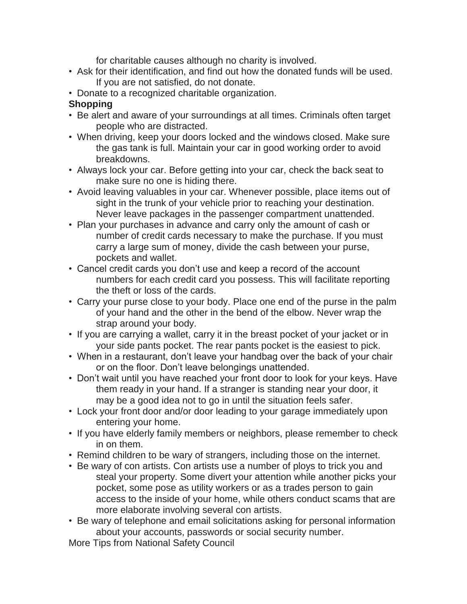for charitable causes although no charity is involved.

- Ask for their identification, and find out how the donated funds will be used. If you are not satisfied, do not donate.
- Donate to a recognized charitable organization.

### **Shopping**

- Be alert and aware of your surroundings at all times. Criminals often target people who are distracted.
- When driving, keep your doors locked and the windows closed. Make sure the gas tank is full. Maintain your car in good working order to avoid breakdowns.
- Always lock your car. Before getting into your car, check the back seat to make sure no one is hiding there.
- Avoid leaving valuables in your car. Whenever possible, place items out of sight in the trunk of your vehicle prior to reaching your destination. Never leave packages in the passenger compartment unattended.
- Plan your purchases in advance and carry only the amount of cash or number of credit cards necessary to make the purchase. If you must carry a large sum of money, divide the cash between your purse, pockets and wallet.
- Cancel credit cards you don't use and keep a record of the account numbers for each credit card you possess. This will facilitate reporting the theft or loss of the cards.
- Carry your purse close to your body. Place one end of the purse in the palm of your hand and the other in the bend of the elbow. Never wrap the strap around your body.
- If you are carrying a wallet, carry it in the breast pocket of your jacket or in your side pants pocket. The rear pants pocket is the easiest to pick.
- When in a restaurant, don't leave your handbag over the back of your chair or on the floor. Don't leave belongings unattended.
- Don't wait until you have reached your front door to look for your keys. Have them ready in your hand. If a stranger is standing near your door, it may be a good idea not to go in until the situation feels safer.
- Lock your front door and/or door leading to your garage immediately upon entering your home.
- If you have elderly family members or neighbors, please remember to check in on them.
- Remind children to be wary of strangers, including those on the internet.
- Be wary of con artists. Con artists use a number of ploys to trick you and steal your property. Some divert your attention while another picks your pocket, some pose as utility workers or as a trades person to gain access to the inside of your home, while others conduct scams that are more elaborate involving several con artists.
- Be wary of telephone and email solicitations asking for personal information about your accounts, passwords or social security number.

More Tips from National Safety Council